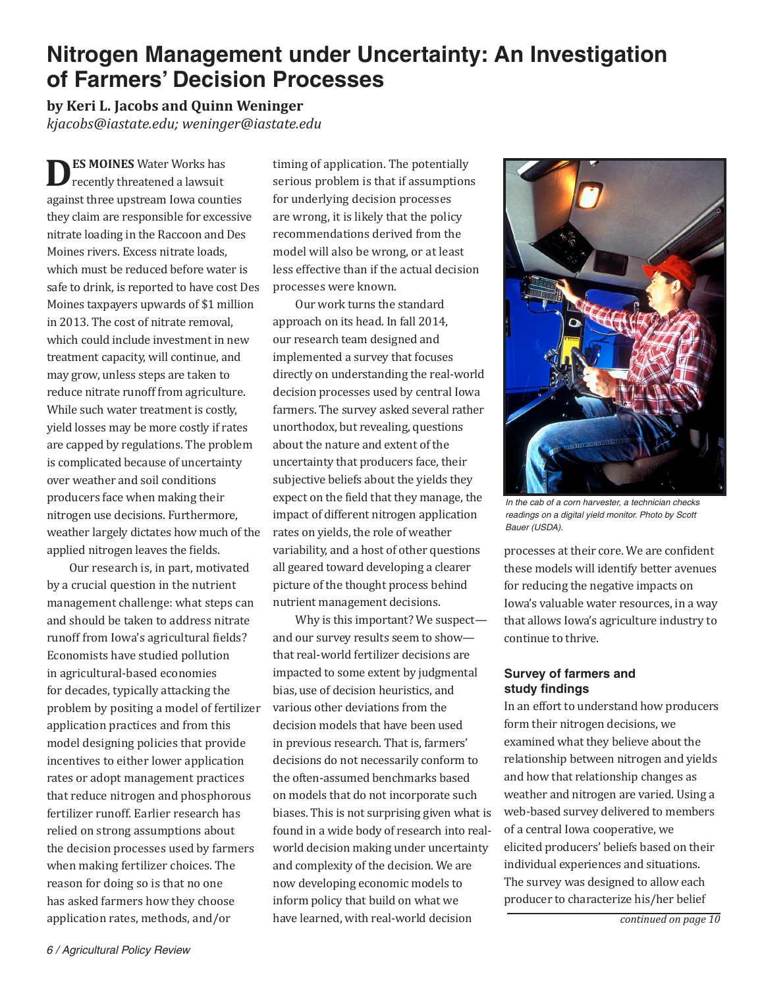# **Nitrogen Management under Uncertainty: An Investigation of Farmers' Decision Processes**

**by Keri L. Jacobs and Quinn Weninger** *kjacobs@iastate.edu; weninger@iastate.edu*

**ES MOINES** Water Works has recently threatened a lawsuit against three upstream Iowa counties they claim are responsible for excessive nitrate loading in the Raccoon and Des Moines rivers. Excess nitrate loads, which must be reduced before water is safe to drink, is reported to have cost Des Moines taxpayers upwards of \$1 million in 2013. The cost of nitrate removal, which could include investment in new treatment capacity, will continue, and may grow, unless steps are taken to reduce nitrate runoff from agriculture. While such water treatment is costly, yield losses may be more costly if rates are capped by regulations. The problem is complicated because of uncertainty over weather and soil conditions producers face when making their nitrogen use decisions. Furthermore, weather largely dictates how much of the applied nitrogen leaves the fields.

Our research is, in part, motivated by a crucial question in the nutrient management challenge: what steps can and should be taken to address nitrate runoff from Iowa's agricultural fields? Economists have studied pollution in agricultural-based economies for decades, typically attacking the problem by positing a model of fertilizer application practices and from this model designing policies that provide incentives to either lower application rates or adopt management practices that reduce nitrogen and phosphorous fertilizer runoff. Earlier research has relied on strong assumptions about the decision processes used by farmers when making fertilizer choices. The reason for doing so is that no one has asked farmers how they choose application rates, methods, and/or

timing of application. The potentially serious problem is that if assumptions for underlying decision processes are wrong, it is likely that the policy recommendations derived from the model will also be wrong, or at least less effective than if the actual decision processes were known.

Our work turns the standard approach on its head. In fall 2014, our research team designed and implemented a survey that focuses directly on understanding the real-world decision processes used by central Iowa farmers. The survey asked several rather unorthodox, but revealing, questions about the nature and extent of the uncertainty that producers face, their subjective beliefs about the yields they expect on the field that they manage, the impact of different nitrogen application rates on yields, the role of weather variability, and a host of other questions all geared toward developing a clearer picture of the thought process behind nutrient management decisions.

Why is this important? We suspect and our survey results seem to show that real-world fertilizer decisions are impacted to some extent by judgmental bias, use of decision heuristics, and various other deviations from the decision models that have been used in previous research. That is, farmers' decisions do not necessarily conform to the often-assumed benchmarks based on models that do not incorporate such biases. This is not surprising given what is found in a wide body of research into realworld decision making under uncertainty and complexity of the decision. We are now developing economic models to inform policy that build on what we have learned, with real-world decision



*In the cab of a corn harvester, a technician checks readings on a digital yield monitor. Photo by Scott Bauer (USDA).*

processes at their core. We are confident these models will identify better avenues for reducing the negative impacts on Iowa's valuable water resources, in a way that allows Iowa's agriculture industry to continue to thrive.

## **Survey of farmers and study findings**

In an effort to understand how producers form their nitrogen decisions, we examined what they believe about the relationship between nitrogen and yields and how that relationship changes as weather and nitrogen are varied. Using a web-based survey delivered to members of a central Iowa cooperative, we elicited producers' beliefs based on their individual experiences and situations. The survey was designed to allow each producer to characterize his/her belief

*continued on page 10*